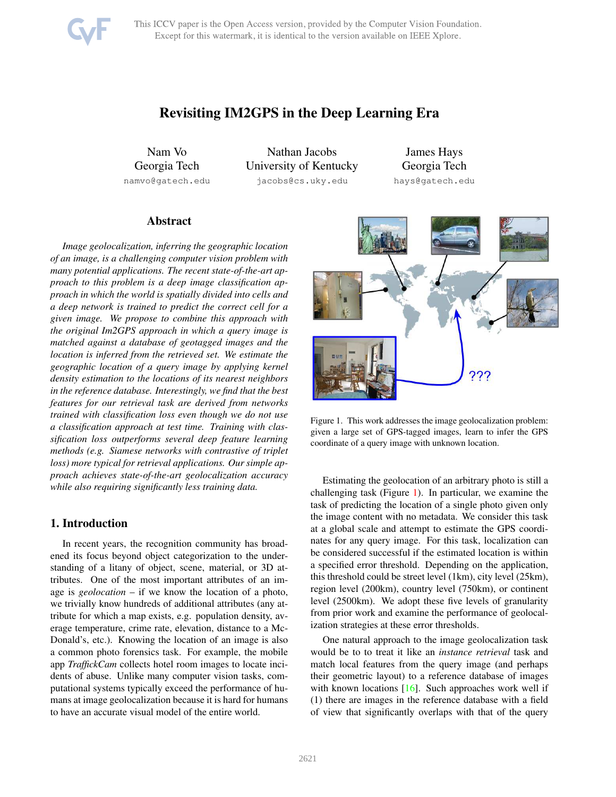# Revisiting IM2GPS in the Deep Learning Era

Nam Vo Georgia Tech namvo@gatech.edu

Nathan Jacobs University of Kentucky jacobs@cs.uky.edu

James Hays Georgia Tech hays@gatech.edu

# Abstract

*Image geolocalization, inferring the geographic location of an image, is a challenging computer vision problem with many potential applications. The recent state-of-the-art approach to this problem is a deep image classification approach in which the world is spatially divided into cells and a deep network is trained to predict the correct cell for a given image. We propose to combine this approach with the original Im2GPS approach in which a query image is matched against a database of geotagged images and the location is inferred from the retrieved set. We estimate the geographic location of a query image by applying kernel density estimation to the locations of its nearest neighbors in the reference database. Interestingly, we find that the best features for our retrieval task are derived from networks trained with classification loss even though we do not use a classification approach at test time. Training with classification loss outperforms several deep feature learning methods (e.g. Siamese networks with contrastive of triplet loss) more typical for retrieval applications. Our simple approach achieves state-of-the-art geolocalization accuracy while also requiring significantly less training data.*

# 1. Introduction

In recent years, the recognition community has broadened its focus beyond object categorization to the understanding of a litany of object, scene, material, or 3D attributes. One of the most important attributes of an image is *geolocation* – if we know the location of a photo, we trivially know hundreds of additional attributes (any attribute for which a map exists, e.g. population density, average temperature, crime rate, elevation, distance to a Mc-Donald's, etc.). Knowing the location of an image is also a common photo forensics task. For example, the mobile app *TraffickCam* collects hotel room images to locate incidents of abuse. Unlike many computer vision tasks, computational systems typically exceed the performance of humans at image geolocalization because it is hard for humans to have an accurate visual model of the entire world.



Figure 1. This work addresses the image geolocalization problem: given a large set of GPS-tagged images, learn to infer the GPS coordinate of a query image with unknown location.

<span id="page-0-0"></span>Estimating the geolocation of an arbitrary photo is still a challenging task (Figure [1\)](#page-0-0). In particular, we examine the task of predicting the location of a single photo given only the image content with no metadata. We consider this task at a global scale and attempt to estimate the GPS coordinates for any query image. For this task, localization can be considered successful if the estimated location is within a specified error threshold. Depending on the application, this threshold could be street level (1km), city level (25km), region level (200km), country level (750km), or continent level (2500km). We adopt these five levels of granularity from prior work and examine the performance of geolocalization strategies at these error thresholds.

One natural approach to the image geolocalization task would be to to treat it like an *instance retrieval* task and match local features from the query image (and perhaps their geometric layout) to a reference database of images with known locations [\[16\]](#page-8-0). Such approaches work well if (1) there are images in the reference database with a field of view that significantly overlaps with that of the query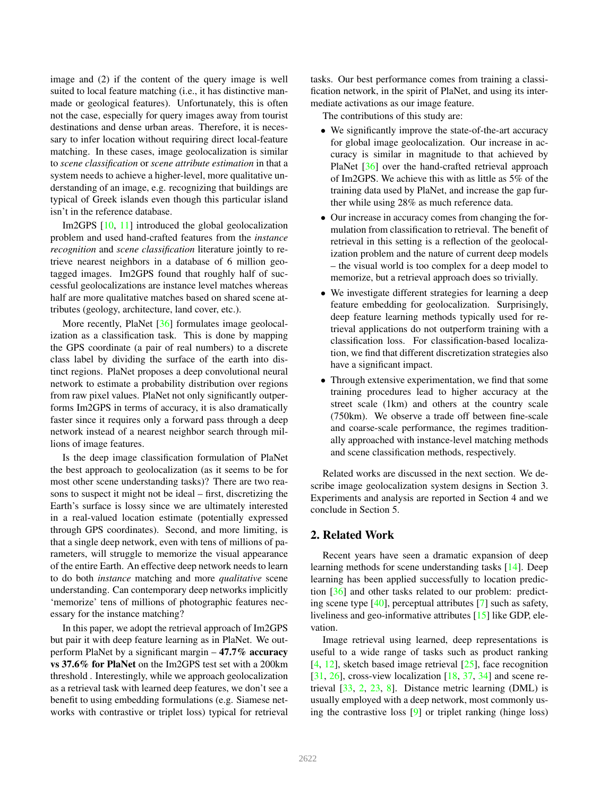image and (2) if the content of the query image is well suited to local feature matching (i.e., it has distinctive manmade or geological features). Unfortunately, this is often not the case, especially for query images away from tourist destinations and dense urban areas. Therefore, it is necessary to infer location without requiring direct local-feature matching. In these cases, image geolocalization is similar to *scene classification* or *scene attribute estimation* in that a system needs to achieve a higher-level, more qualitative understanding of an image, e.g. recognizing that buildings are typical of Greek islands even though this particular island isn't in the reference database.

Im2GPS [\[10,](#page-8-1) [11\]](#page-8-2) introduced the global geolocalization problem and used hand-crafted features from the *instance recognition* and *scene classification* literature jointly to retrieve nearest neighbors in a database of 6 million geotagged images. Im2GPS found that roughly half of successful geolocalizations are instance level matches whereas half are more qualitative matches based on shared scene attributes (geology, architecture, land cover, etc.).

More recently, PlaNet [\[36\]](#page-9-0) formulates image geolocalization as a classification task. This is done by mapping the GPS coordinate (a pair of real numbers) to a discrete class label by dividing the surface of the earth into distinct regions. PlaNet proposes a deep convolutional neural network to estimate a probability distribution over regions from raw pixel values. PlaNet not only significantly outperforms Im2GPS in terms of accuracy, it is also dramatically faster since it requires only a forward pass through a deep network instead of a nearest neighbor search through millions of image features.

Is the deep image classification formulation of PlaNet the best approach to geolocalization (as it seems to be for most other scene understanding tasks)? There are two reasons to suspect it might not be ideal – first, discretizing the Earth's surface is lossy since we are ultimately interested in a real-valued location estimate (potentially expressed through GPS coordinates). Second, and more limiting, is that a single deep network, even with tens of millions of parameters, will struggle to memorize the visual appearance of the entire Earth. An effective deep network needs to learn to do both *instance* matching and more *qualitative* scene understanding. Can contemporary deep networks implicitly 'memorize' tens of millions of photographic features necessary for the instance matching?

In this paper, we adopt the retrieval approach of Im2GPS but pair it with deep feature learning as in PlaNet. We outperform PlaNet by a significant margin  $-47.7\%$  accuracy vs 37.6% for PlaNet on the Im2GPS test set with a 200km threshold . Interestingly, while we approach geolocalization as a retrieval task with learned deep features, we don't see a benefit to using embedding formulations (e.g. Siamese networks with contrastive or triplet loss) typical for retrieval tasks. Our best performance comes from training a classification network, in the spirit of PlaNet, and using its intermediate activations as our image feature.

The contributions of this study are:

- We significantly improve the state-of-the-art accuracy for global image geolocalization. Our increase in accuracy is similar in magnitude to that achieved by PlaNet [\[36\]](#page-9-0) over the hand-crafted retrieval approach of Im2GPS. We achieve this with as little as 5% of the training data used by PlaNet, and increase the gap further while using 28% as much reference data.
- Our increase in accuracy comes from changing the formulation from classification to retrieval. The benefit of retrieval in this setting is a reflection of the geolocalization problem and the nature of current deep models – the visual world is too complex for a deep model to memorize, but a retrieval approach does so trivially.
- We investigate different strategies for learning a deep feature embedding for geolocalization. Surprisingly, deep feature learning methods typically used for retrieval applications do not outperform training with a classification loss. For classification-based localization, we find that different discretization strategies also have a significant impact.
- Through extensive experimentation, we find that some training procedures lead to higher accuracy at the street scale (1km) and others at the country scale (750km). We observe a trade off between fine-scale and coarse-scale performance, the regimes traditionally approached with instance-level matching methods and scene classification methods, respectively.

Related works are discussed in the next section. We describe image geolocalization system designs in Section 3. Experiments and analysis are reported in Section 4 and we conclude in Section 5.

# 2. Related Work

Recent years have seen a dramatic expansion of deep learning methods for scene understanding tasks [\[14\]](#page-8-3). Deep learning has been applied successfully to location prediction [\[36\]](#page-9-0) and other tasks related to our problem: predicting scene type [\[40\]](#page-9-1), perceptual attributes [\[7\]](#page-8-4) such as safety, liveliness and geo-informative attributes [\[15\]](#page-8-5) like GDP, elevation.

Image retrieval using learned, deep representations is useful to a wide range of tasks such as product ranking [\[4,](#page-8-6) [12\]](#page-8-7), sketch based image retrieval [\[25\]](#page-8-8), face recognition [\[31,](#page-9-2) [26\]](#page-8-9), cross-view localization  $[18, 37, 34]$  $[18, 37, 34]$  $[18, 37, 34]$  $[18, 37, 34]$  and scene retrieval [\[33,](#page-9-5) [2,](#page-8-11) [23,](#page-8-12) [8\]](#page-8-13). Distance metric learning (DML) is usually employed with a deep network, most commonly using the contrastive loss [\[9\]](#page-8-14) or triplet ranking (hinge loss)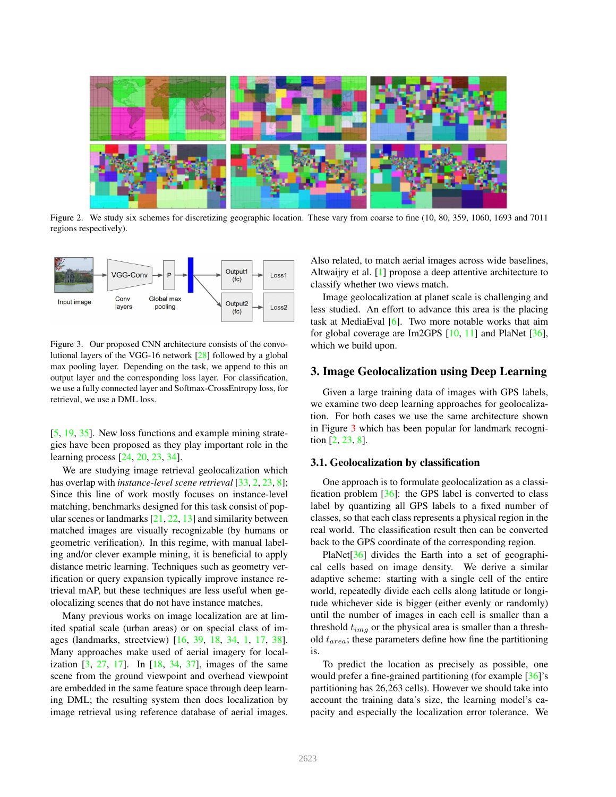

Figure 2. We study six schemes for discretizing geographic location. These vary from coarse to fine (10, 80, 359, 1060, 1693 and 7011 regions respectively).

<span id="page-2-1"></span>

<span id="page-2-0"></span>Figure 3. Our proposed CNN architecture consists of the convolutional layers of the VGG-16 network [\[28\]](#page-8-15) followed by a global max pooling layer. Depending on the task, we append to this an output layer and the corresponding loss layer. For classification, we use a fully connected layer and Softmax-CrossEntropy loss, for retrieval, we use a DML loss.

[\[5,](#page-8-16) [19,](#page-8-17) [35\]](#page-9-6). New loss functions and example mining strategies have been proposed as they play important role in the learning process [\[24,](#page-8-18) [20,](#page-8-19) [23,](#page-8-12) [34\]](#page-9-4).

We are studying image retrieval geolocalization which has overlap with *instance-level scene retrieval* [\[33,](#page-9-5) [2,](#page-8-11) [23,](#page-8-12) [8\]](#page-8-13); Since this line of work mostly focuses on instance-level matching, benchmarks designed for this task consist of popular scenes or landmarks  $[21, 22, 13]$  $[21, 22, 13]$  $[21, 22, 13]$  $[21, 22, 13]$  $[21, 22, 13]$  and similarity between matched images are visually recognizable (by humans or geometric verification). In this regime, with manual labeling and/or clever example mining, it is beneficial to apply distance metric learning. Techniques such as geometry verification or query expansion typically improve instance retrieval mAP, but these techniques are less useful when geolocalizing scenes that do not have instance matches.

Many previous works on image localization are at limited spatial scale (urban areas) or on special class of images (landmarks, streetview) [\[16,](#page-8-0) [39,](#page-9-7) [18,](#page-8-10) [34,](#page-9-4) [1,](#page-8-23) [17,](#page-8-24) [38\]](#page-9-8). Many approaches make used of aerial imagery for localization [\[3,](#page-8-25) [27,](#page-8-26) [17\]](#page-8-24). In [\[18,](#page-8-10) [34,](#page-9-4) [37\]](#page-9-3), images of the same scene from the ground viewpoint and overhead viewpoint are embedded in the same feature space through deep learning DML; the resulting system then does localization by image retrieval using reference database of aerial images.

Also related, to match aerial images across wide baselines, Altwaijry et al. [\[1\]](#page-8-23) propose a deep attentive architecture to classify whether two views match.

Image geolocalization at planet scale is challenging and less studied. An effort to advance this area is the placing task at MediaEval  $[6]$ . Two more notable works that aim for global coverage are Im2GPS [\[10,](#page-8-1) [11\]](#page-8-2) and PlaNet [\[36\]](#page-9-0), which we build upon.

### 3. Image Geolocalization using Deep Learning

Given a large training data of images with GPS labels, we examine two deep learning approaches for geolocalization. For both cases we use the same architecture shown in Figure [3](#page-2-0) which has been popular for landmark recognition [\[2,](#page-8-11) [23,](#page-8-12) [8\]](#page-8-13).

#### 3.1. Geolocalization by classification

One approach is to formulate geolocalization as a classification problem  $[36]$ : the GPS label is converted to class label by quantizing all GPS labels to a fixed number of classes, so that each class represents a physical region in the real world. The classification result then can be converted back to the GPS coordinate of the corresponding region.

PlaNet[\[36\]](#page-9-0) divides the Earth into a set of geographical cells based on image density. We derive a similar adaptive scheme: starting with a single cell of the entire world, repeatedly divide each cells along latitude or longitude whichever side is bigger (either evenly or randomly) until the number of images in each cell is smaller than a threshold  $t_{img}$  or the physical area is smaller than a threshold  $t_{area}$ ; these parameters define how fine the partitioning is.

To predict the location as precisely as possible, one would prefer a fine-grained partitioning (for example [\[36\]](#page-9-0)'s partitioning has 26,263 cells). However we should take into account the training data's size, the learning model's capacity and especially the localization error tolerance. We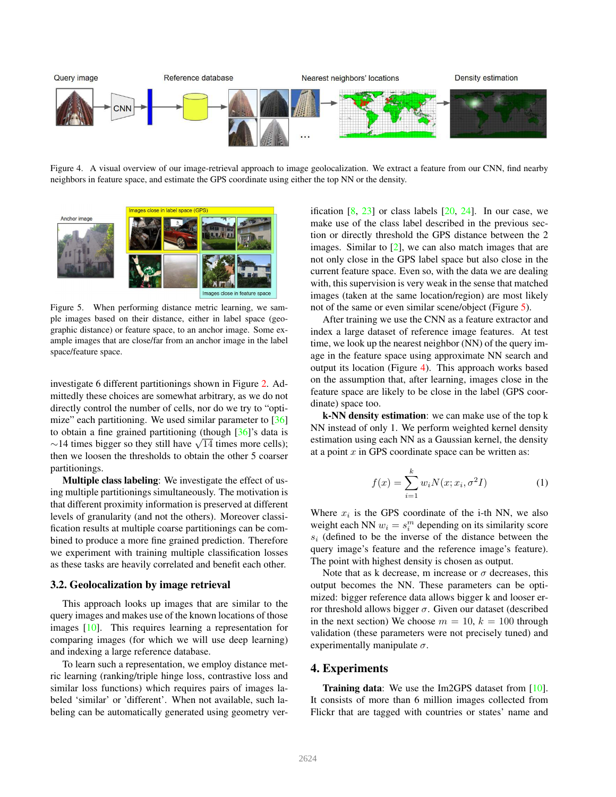

<span id="page-3-1"></span>Figure 4. A visual overview of our image-retrieval approach to image geolocalization. We extract a feature from our CNN, find nearby neighbors in feature space, and estimate the GPS coordinate using either the top NN or the density.



<span id="page-3-0"></span>Figure 5. When performing distance metric learning, we sample images based on their distance, either in label space (geographic distance) or feature space, to an anchor image. Some example images that are close/far from an anchor image in the label space/feature space.

investigate 6 different partitionings shown in Figure [2.](#page-2-1) Admittedly these choices are somewhat arbitrary, as we do not directly control the number of cells, nor do we try to "opti-mize" each partitioning. We used similar parameter to [\[36\]](#page-9-0) to obtain a fine grained partitioning (though [\[36\]](#page-9-0)'s data is  $\sim$ 14 times bigger so they still have  $\sqrt{14}$  times more cells); then we loosen the thresholds to obtain the other 5 coarser partitionings.

Multiple class labeling: We investigate the effect of using multiple partitionings simultaneously. The motivation is that different proximity information is preserved at different levels of granularity (and not the others). Moreover classification results at multiple coarse partitionings can be combined to produce a more fine grained prediction. Therefore we experiment with training multiple classification losses as these tasks are heavily correlated and benefit each other.

#### 3.2. Geolocalization by image retrieval

This approach looks up images that are similar to the query images and makes use of the known locations of those images [\[10\]](#page-8-1). This requires learning a representation for comparing images (for which we will use deep learning) and indexing a large reference database.

To learn such a representation, we employ distance metric learning (ranking/triple hinge loss, contrastive loss and similar loss functions) which requires pairs of images labeled 'similar' or 'different'. When not available, such labeling can be automatically generated using geometry verification  $[8, 23]$  $[8, 23]$  $[8, 23]$  or class labels  $[20, 24]$  $[20, 24]$ . In our case, we make use of the class label described in the previous section or directly threshold the GPS distance between the 2 images. Similar to [\[2\]](#page-8-11), we can also match images that are not only close in the GPS label space but also close in the current feature space. Even so, with the data we are dealing with, this supervision is very weak in the sense that matched images (taken at the same location/region) are most likely not of the same or even similar scene/object (Figure [5\)](#page-3-0).

After training we use the CNN as a feature extractor and index a large dataset of reference image features. At test time, we look up the nearest neighbor (NN) of the query image in the feature space using approximate NN search and output its location (Figure [4\)](#page-3-1). This approach works based on the assumption that, after learning, images close in the feature space are likely to be close in the label (GPS coordinate) space too.

k-NN density estimation: we can make use of the top k NN instead of only 1. We perform weighted kernel density estimation using each NN as a Gaussian kernel, the density at a point  $x$  in GPS coordinate space can be written as:

$$
f(x) = \sum_{i=1}^{k} w_i N(x; x_i, \sigma^2 I)
$$
 (1)

Where  $x_i$  is the GPS coordinate of the i-th NN, we also weight each NN  $w_i = s_i^m$  depending on its similarity score  $s_i$  (defined to be the inverse of the distance between the query image's feature and the reference image's feature). The point with highest density is chosen as output.

Note that as k decrease, m increase or  $\sigma$  decreases, this output becomes the NN. These parameters can be optimized: bigger reference data allows bigger k and looser error threshold allows bigger σ. Given our dataset (described in the next section) We choose  $m = 10$ ,  $k = 100$  through validation (these parameters were not precisely tuned) and experimentally manipulate  $\sigma$ .

#### 4. Experiments

**Training data:** We use the Im2GPS dataset from [\[10\]](#page-8-1). It consists of more than 6 million images collected from Flickr that are tagged with countries or states' name and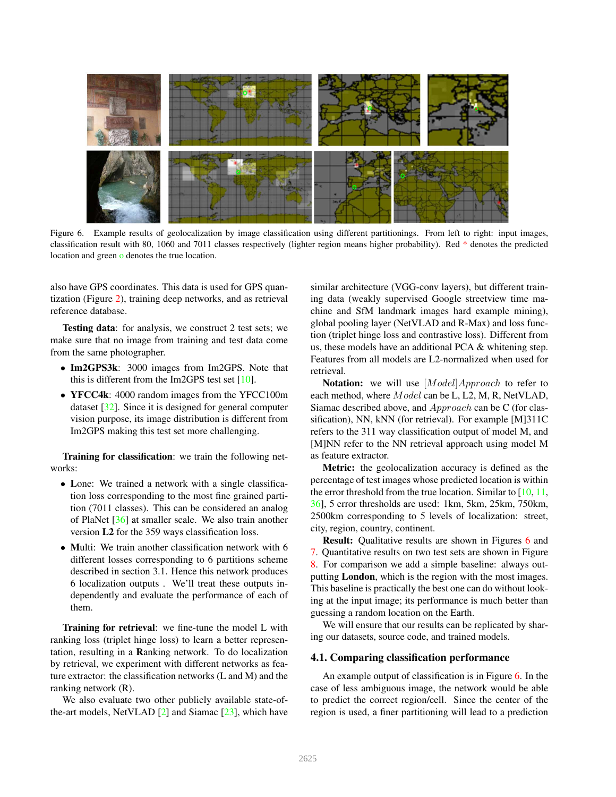

<span id="page-4-0"></span>Figure 6. Example results of geolocalization by image classification using different partitionings. From left to right: input images, classification result with 80, 1060 and 7011 classes respectively (lighter region means higher probability). Red \* denotes the predicted location and green o denotes the true location.

also have GPS coordinates. This data is used for GPS quantization (Figure [2\)](#page-2-1), training deep networks, and as retrieval reference database.

Testing data: for analysis, we construct 2 test sets; we make sure that no image from training and test data come from the same photographer.

- Im2GPS3k: 3000 images from Im2GPS. Note that this is different from the Im2GPS test set  $[10]$ .
- YFCC4k: 4000 random images from the YFCC100m dataset [\[32\]](#page-9-9). Since it is designed for general computer vision purpose, its image distribution is different from Im2GPS making this test set more challenging.

Training for classification: we train the following networks:

- Lone: We trained a network with a single classification loss corresponding to the most fine grained partition (7011 classes). This can be considered an analog of PlaNet [\[36\]](#page-9-0) at smaller scale. We also train another version L2 for the 359 ways classification loss.
- <sup>M</sup>ulti: We train another classification network with 6 different losses corresponding to 6 partitions scheme described in section 3.1. Hence this network produces 6 localization outputs . We'll treat these outputs independently and evaluate the performance of each of them.

Training for retrieval: we fine-tune the model L with ranking loss (triplet hinge loss) to learn a better representation, resulting in a Ranking network. To do localization by retrieval, we experiment with different networks as feature extractor: the classification networks (L and M) and the ranking network (R).

We also evaluate two other publicly available state-ofthe-art models, NetVLAD  $[2]$  and Siamac  $[23]$ , which have similar architecture (VGG-conv layers), but different training data (weakly supervised Google streetview time machine and SfM landmark images hard example mining), global pooling layer (NetVLAD and R-Max) and loss function (triplet hinge loss and contrastive loss). Different from us, these models have an additional PCA & whitening step. Features from all models are L2-normalized when used for retrieval.

**Notation:** we will use  $[Model] Approach$  to refer to each method, where Model can be L, L2, M, R, NetVLAD, Siamac described above, and Approach can be C (for classification), NN, kNN (for retrieval). For example [M]311C refers to the 311 way classification output of model M, and [M]NN refer to the NN retrieval approach using model M as feature extractor.

Metric: the geolocalization accuracy is defined as the percentage of test images whose predicted location is within the error threshold from the true location. Similar to [\[10,](#page-8-1) [11,](#page-8-2) [36\]](#page-9-0), 5 error thresholds are used: 1km, 5km, 25km, 750km, 2500km corresponding to 5 levels of localization: street, city, region, country, continent.

Result: Qualitative results are shown in Figures [6](#page-4-0) and [7.](#page-5-0) Quantitative results on two test sets are shown in Figure [8.](#page-6-0) For comparison we add a simple baseline: always outputting London, which is the region with the most images. This baseline is practically the best one can do without looking at the input image; its performance is much better than guessing a random location on the Earth.

We will ensure that our results can be replicated by sharing our datasets, source code, and trained models.

#### 4.1. Comparing classification performance

An example output of classification is in Figure [6.](#page-4-0) In the case of less ambiguous image, the network would be able to predict the correct region/cell. Since the center of the region is used, a finer partitioning will lead to a prediction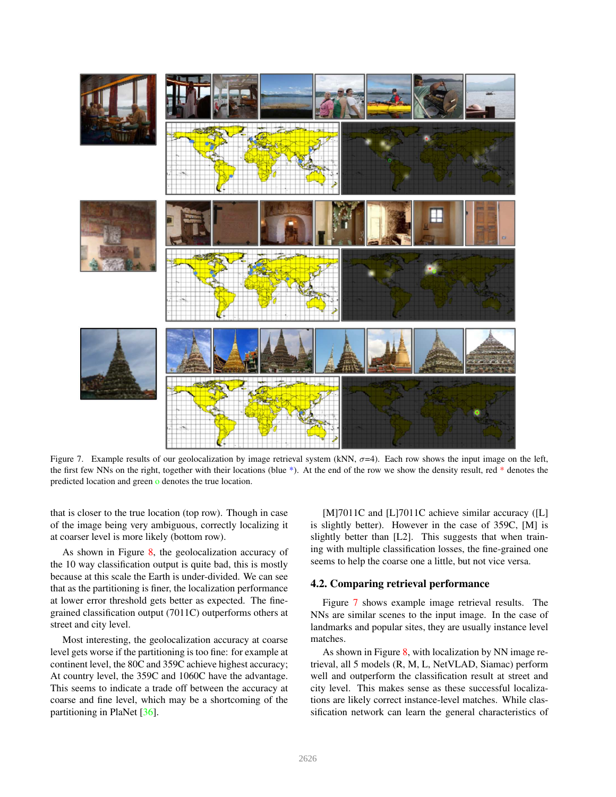

<span id="page-5-0"></span>Figure 7. Example results of our geolocalization by image retrieval system (kNN,  $\sigma=4$ ). Each row shows the input image on the left, the first few NNs on the right, together with their locations (blue \*). At the end of the row we show the density result, red \* denotes the predicted location and green o denotes the true location.

that is closer to the true location (top row). Though in case of the image being very ambiguous, correctly localizing it at coarser level is more likely (bottom row).

As shown in Figure [8,](#page-6-0) the geolocalization accuracy of the 10 way classification output is quite bad, this is mostly because at this scale the Earth is under-divided. We can see that as the partitioning is finer, the localization performance at lower error threshold gets better as expected. The finegrained classification output (7011C) outperforms others at street and city level.

Most interesting, the geolocalization accuracy at coarse level gets worse if the partitioning is too fine: for example at continent level, the 80C and 359C achieve highest accuracy; At country level, the 359C and 1060C have the advantage. This seems to indicate a trade off between the accuracy at coarse and fine level, which may be a shortcoming of the partitioning in PlaNet [\[36\]](#page-9-0).

[M]7011C and [L]7011C achieve similar accuracy ([L] is slightly better). However in the case of 359C, [M] is slightly better than [L2]. This suggests that when training with multiple classification losses, the fine-grained one seems to help the coarse one a little, but not vice versa.

#### 4.2. Comparing retrieval performance

Figure [7](#page-5-0) shows example image retrieval results. The NNs are similar scenes to the input image. In the case of landmarks and popular sites, they are usually instance level matches.

As shown in Figure [8,](#page-6-0) with localization by NN image retrieval, all 5 models (R, M, L, NetVLAD, Siamac) perform well and outperform the classification result at street and city level. This makes sense as these successful localizations are likely correct instance-level matches. While classification network can learn the general characteristics of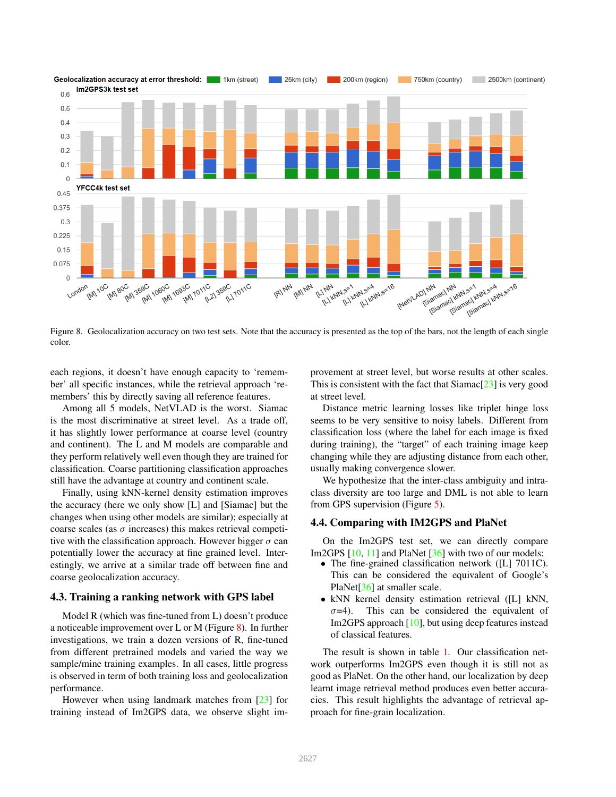

<span id="page-6-0"></span>Figure 8. Geolocalization accuracy on two test sets. Note that the accuracy is presented as the top of the bars, not the length of each single color.

each regions, it doesn't have enough capacity to 'remember' all specific instances, while the retrieval approach 'remembers' this by directly saving all reference features.

Among all 5 models, NetVLAD is the worst. Siamac is the most discriminative at street level. As a trade off, it has slightly lower performance at coarse level (country and continent). The L and M models are comparable and they perform relatively well even though they are trained for classification. Coarse partitioning classification approaches still have the advantage at country and continent scale.

Finally, using kNN-kernel density estimation improves the accuracy (here we only show [L] and [Siamac] but the changes when using other models are similar); especially at coarse scales (as  $\sigma$  increases) this makes retrieval competitive with the classification approach. However bigger  $\sigma$  can potentially lower the accuracy at fine grained level. Interestingly, we arrive at a similar trade off between fine and coarse geolocalization accuracy.

#### 4.3. Training a ranking network with GPS label

Model R (which was fine-tuned from L) doesn't produce a noticeable improvement over L or M (Figure [8\)](#page-6-0). In further investigations, we train a dozen versions of R, fine-tuned from different pretrained models and varied the way we sample/mine training examples. In all cases, little progress is observed in term of both training loss and geolocalization performance.

However when using landmark matches from [\[23\]](#page-8-12) for training instead of Im2GPS data, we observe slight improvement at street level, but worse results at other scales. This is consistent with the fact that  $Siamac[23]$  $Siamac[23]$  is very good at street level.

Distance metric learning losses like triplet hinge loss seems to be very sensitive to noisy labels. Different from classification loss (where the label for each image is fixed during training), the "target" of each training image keep changing while they are adjusting distance from each other, usually making convergence slower.

We hypothesize that the inter-class ambiguity and intraclass diversity are too large and DML is not able to learn from GPS supervision (Figure [5\)](#page-3-0).

#### 4.4. Comparing with IM2GPS and PlaNet

On the Im2GPS test set, we can directly compare Im2GPS [\[10,](#page-8-1) [11\]](#page-8-2) and PlaNet [\[36\]](#page-9-0) with two of our models:

- The fine-grained classification network ([L] 7011C). This can be considered the equivalent of Google's PlaNet<sup>[\[36\]](#page-9-0)</sup> at smaller scale.
- kNN kernel density estimation retrieval ([L] kNN,  $\sigma$ =4). This can be considered the equivalent of This can be considered the equivalent of Im2GPS approach [\[10\]](#page-8-1), but using deep features instead of classical features.

The result is shown in table [1.](#page-7-0) Our classification network outperforms Im2GPS even though it is still not as good as PlaNet. On the other hand, our localization by deep learnt image retrieval method produces even better accuracies. This result highlights the advantage of retrieval approach for fine-grain localization.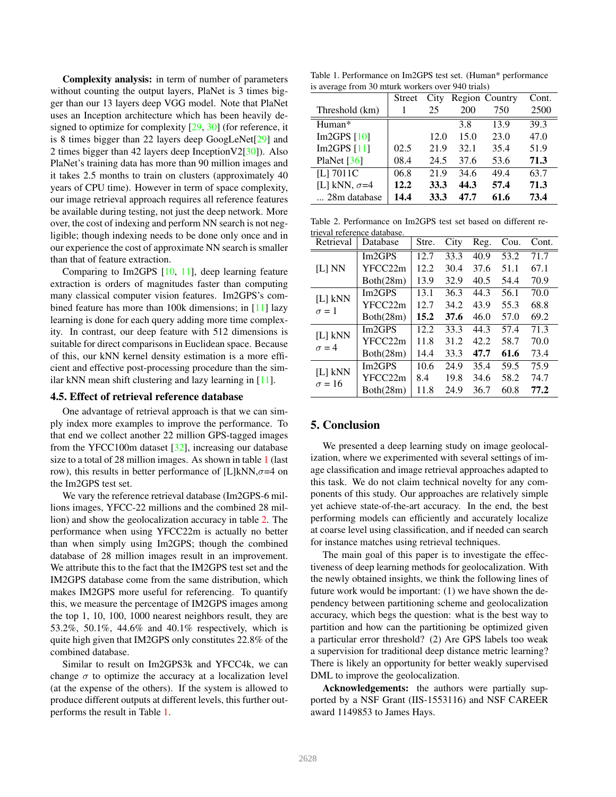Complexity analysis: in term of number of parameters without counting the output layers, PlaNet is 3 times bigger than our 13 layers deep VGG model. Note that PlaNet uses an Inception architecture which has been heavily designed to optimize for complexity [\[29,](#page-8-28) [30\]](#page-9-10) (for reference, it is 8 times bigger than 22 layers deep GoogLeNet[\[29\]](#page-8-28) and 2 times bigger than 42 layers deep Inception  $V2[30]$  $V2[30]$ ). Also PlaNet's training data has more than 90 million images and it takes 2.5 months to train on clusters (approximately 40 years of CPU time). However in term of space complexity, our image retrieval approach requires all reference features be available during testing, not just the deep network. More over, the cost of indexing and perform NN search is not negligible; though indexing needs to be done only once and in our experience the cost of approximate NN search is smaller than that of feature extraction.

Comparing to Im2GPS [\[10,](#page-8-1) [11\]](#page-8-2), deep learning feature extraction is orders of magnitudes faster than computing many classical computer vision features. Im2GPS's com-bined feature has more than 100k dimensions; in [\[11\]](#page-8-2) lazy learning is done for each query adding more time complexity. In contrast, our deep feature with 512 dimensions is suitable for direct comparisons in Euclidean space. Because of this, our kNN kernel density estimation is a more efficient and effective post-processing procedure than the similar kNN mean shift clustering and lazy learning in [\[11\]](#page-8-2).

#### 4.5. Effect of retrieval reference database

One advantage of retrieval approach is that we can simply index more examples to improve the performance. To that end we collect another 22 million GPS-tagged images from the YFCC100m dataset  $[32]$ , increasing our database size to a total of 28 million images. As shown in table [1](#page-7-0) (last row), this results in better performance of [L]kNN, $\sigma$ =4 on the Im2GPS test set.

We vary the reference retrieval database (Im2GPS-6 millions images, YFCC-22 millions and the combined 28 million) and show the geolocalization accuracy in table [2.](#page-7-1) The performance when using YFCC22m is actually no better than when simply using Im2GPS; though the combined database of 28 million images result in an improvement. We attribute this to the fact that the IM2GPS test set and the IM2GPS database come from the same distribution, which makes IM2GPS more useful for referencing. To quantify this, we measure the percentage of IM2GPS images among the top 1, 10, 100, 1000 nearest neighbors result, they are 53.2%, 50.1%, 44.6% and 40.1% respectively, which is quite high given that IM2GPS only constitutes 22.8% of the combined database.

Similar to result on Im2GPS3k and YFCC4k, we can change  $\sigma$  to optimize the accuracy at a localization level (at the expense of the others). If the system is allowed to produce different outputs at different levels, this further outperforms the result in Table [1.](#page-7-0)

<span id="page-7-0"></span>Table 1. Performance on Im2GPS test set. (Human\* performance is average from 30 mturk workers over 940 trials)

|                      | Street | City |      | Region Country | Cont. |
|----------------------|--------|------|------|----------------|-------|
| Threshold (km)       |        | 25   | 200  | 750            | 2500  |
| Human*               |        |      | 3.8  | 13.9           | 39.3  |
| Im2GPS $[10]$        |        | 12.0 | 15.0 | 23.0           | 47.0  |
| Im2GPS $[11]$        | 02.5   | 21.9 | 32.1 | 35.4           | 51.9  |
| PlaNet $[36]$        | 08.4   | 24.5 | 37.6 | 53.6           | 71.3  |
| [L] $7011C$          | 06.8   | 21.9 | 34.6 | 49.4           | 63.7  |
| [L] kNN, $\sigma$ =4 | 12.2   | 33.3 | 44.3 | 57.4           | 71.3  |
| 28m database         | 14.4   | 33.3 | 47.7 | 61.6           | 73.4  |

<span id="page-7-1"></span>Table 2. Performance on Im2GPS test set based on different retrieval reference database.

| Retrieval                 | Database  | Stre. | City | Reg. | Cou. | Cont. |
|---------------------------|-----------|-------|------|------|------|-------|
| $[L]$ NN                  | Im2GPS    | 12.7  | 33.3 | 40.9 | 53.2 | 71.7  |
|                           | YFCC22m   | 12.2  | 30.4 | 37.6 | 51.1 | 67.1  |
|                           | Both(28m) | 13.9  | 32.9 | 40.5 | 54.4 | 70.9  |
| $[L]$ kNN<br>$\sigma = 1$ | Im2GPS    | 13.1  | 36.3 | 44.3 | 56.1 | 70.0  |
|                           | YFCC22m   | 12.7  | 34.2 | 43.9 | 55.3 | 68.8  |
|                           | Both(28m) | 15.2  | 37.6 | 46.0 | 57.0 | 69.2  |
| [L] kNN<br>$\sigma = 4$   | Im2GPS    | 12.2  | 33.3 | 44.3 | 57.4 | 71.3  |
|                           | YFCC22m   | 11.8  | 31.2 | 42.2 | 58.7 | 70.0  |
|                           | Both(28m) | 14.4  | 33.3 | 47.7 | 61.6 | 73.4  |
| [L] kNN<br>$\sigma = 16$  | Im2GPS    | 10.6  | 24.9 | 35.4 | 59.5 | 75.9  |
|                           | YFCC22m   | 8.4   | 19.8 | 34.6 | 58.2 | 74.7  |
|                           | Both(28m) | 11.8  | 24.9 | 36.7 | 60.8 | 77.2  |

#### 5. Conclusion

We presented a deep learning study on image geolocalization, where we experimented with several settings of image classification and image retrieval approaches adapted to this task. We do not claim technical novelty for any components of this study. Our approaches are relatively simple yet achieve state-of-the-art accuracy. In the end, the best performing models can efficiently and accurately localize at coarse level using classification, and if needed can search for instance matches using retrieval techniques.

The main goal of this paper is to investigate the effectiveness of deep learning methods for geolocalization. With the newly obtained insights, we think the following lines of future work would be important: (1) we have shown the dependency between partitioning scheme and geolocalization accuracy, which begs the question: what is the best way to partition and how can the partitioning be optimized given a particular error threshold? (2) Are GPS labels too weak a supervision for traditional deep distance metric learning? There is likely an opportunity for better weakly supervised DML to improve the geolocalization.

Acknowledgements: the authors were partially supported by a NSF Grant (IIS-1553116) and NSF CAREER award 1149853 to James Hays.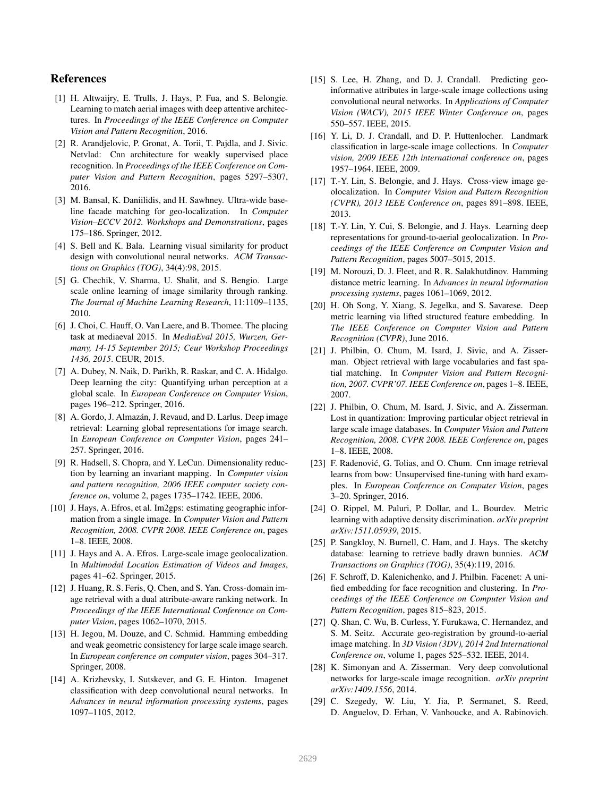## References

- <span id="page-8-23"></span>[1] H. Altwaijry, E. Trulls, J. Hays, P. Fua, and S. Belongie. Learning to match aerial images with deep attentive architectures. In *Proceedings of the IEEE Conference on Computer Vision and Pattern Recognition*, 2016.
- <span id="page-8-11"></span>[2] R. Arandjelovic, P. Gronat, A. Torii, T. Pajdla, and J. Sivic. Netvlad: Cnn architecture for weakly supervised place recognition. In *Proceedings of the IEEE Conference on Computer Vision and Pattern Recognition*, pages 5297–5307, 2016.
- <span id="page-8-25"></span>[3] M. Bansal, K. Daniilidis, and H. Sawhney. Ultra-wide baseline facade matching for geo-localization. In *Computer Vision–ECCV 2012. Workshops and Demonstrations*, pages 175–186. Springer, 2012.
- <span id="page-8-6"></span>[4] S. Bell and K. Bala. Learning visual similarity for product design with convolutional neural networks. *ACM Transactions on Graphics (TOG)*, 34(4):98, 2015.
- <span id="page-8-16"></span>[5] G. Chechik, V. Sharma, U. Shalit, and S. Bengio. Large scale online learning of image similarity through ranking. *The Journal of Machine Learning Research*, 11:1109–1135, 2010.
- <span id="page-8-27"></span>[6] J. Choi, C. Hauff, O. Van Laere, and B. Thomee. The placing task at mediaeval 2015. In *MediaEval 2015, Wurzen, Germany, 14-15 September 2015; Ceur Workshop Proceedings 1436, 2015*. CEUR, 2015.
- <span id="page-8-4"></span>[7] A. Dubey, N. Naik, D. Parikh, R. Raskar, and C. A. Hidalgo. Deep learning the city: Quantifying urban perception at a global scale. In *European Conference on Computer Vision*, pages 196–212. Springer, 2016.
- <span id="page-8-13"></span>[8] A. Gordo, J. Almazán, J. Revaud, and D. Larlus. Deep image retrieval: Learning global representations for image search. In *European Conference on Computer Vision*, pages 241– 257. Springer, 2016.
- <span id="page-8-14"></span>[9] R. Hadsell, S. Chopra, and Y. LeCun. Dimensionality reduction by learning an invariant mapping. In *Computer vision and pattern recognition, 2006 IEEE computer society conference on*, volume 2, pages 1735–1742. IEEE, 2006.
- <span id="page-8-1"></span>[10] J. Hays, A. Efros, et al. Im2gps: estimating geographic information from a single image. In *Computer Vision and Pattern Recognition, 2008. CVPR 2008. IEEE Conference on*, pages 1–8. IEEE, 2008.
- <span id="page-8-2"></span>[11] J. Hays and A. A. Efros. Large-scale image geolocalization. In *Multimodal Location Estimation of Videos and Images*, pages 41–62. Springer, 2015.
- <span id="page-8-7"></span>[12] J. Huang, R. S. Feris, Q. Chen, and S. Yan. Cross-domain image retrieval with a dual attribute-aware ranking network. In *Proceedings of the IEEE International Conference on Computer Vision*, pages 1062–1070, 2015.
- <span id="page-8-22"></span>[13] H. Jegou, M. Douze, and C. Schmid. Hamming embedding and weak geometric consistency for large scale image search. In *European conference on computer vision*, pages 304–317. Springer, 2008.
- <span id="page-8-3"></span>[14] A. Krizhevsky, I. Sutskever, and G. E. Hinton. Imagenet classification with deep convolutional neural networks. In *Advances in neural information processing systems*, pages 1097–1105, 2012.
- <span id="page-8-5"></span>[15] S. Lee, H. Zhang, and D. J. Crandall. Predicting geoinformative attributes in large-scale image collections using convolutional neural networks. In *Applications of Computer Vision (WACV), 2015 IEEE Winter Conference on*, pages 550–557. IEEE, 2015.
- <span id="page-8-0"></span>[16] Y. Li, D. J. Crandall, and D. P. Huttenlocher. Landmark classification in large-scale image collections. In *Computer vision, 2009 IEEE 12th international conference on*, pages 1957–1964. IEEE, 2009.
- <span id="page-8-24"></span>[17] T.-Y. Lin, S. Belongie, and J. Hays. Cross-view image geolocalization. In *Computer Vision and Pattern Recognition (CVPR), 2013 IEEE Conference on*, pages 891–898. IEEE, 2013.
- <span id="page-8-10"></span>[18] T.-Y. Lin, Y. Cui, S. Belongie, and J. Hays. Learning deep representations for ground-to-aerial geolocalization. In *Proceedings of the IEEE Conference on Computer Vision and Pattern Recognition*, pages 5007–5015, 2015.
- <span id="page-8-17"></span>[19] M. Norouzi, D. J. Fleet, and R. R. Salakhutdinov. Hamming distance metric learning. In *Advances in neural information processing systems*, pages 1061–1069, 2012.
- <span id="page-8-19"></span>[20] H. Oh Song, Y. Xiang, S. Jegelka, and S. Savarese. Deep metric learning via lifted structured feature embedding. In *The IEEE Conference on Computer Vision and Pattern Recognition (CVPR)*, June 2016.
- <span id="page-8-20"></span>[21] J. Philbin, O. Chum, M. Isard, J. Sivic, and A. Zisserman. Object retrieval with large vocabularies and fast spatial matching. In *Computer Vision and Pattern Recognition, 2007. CVPR'07. IEEE Conference on*, pages 1–8. IEEE, 2007.
- <span id="page-8-21"></span>[22] J. Philbin, O. Chum, M. Isard, J. Sivic, and A. Zisserman. Lost in quantization: Improving particular object retrieval in large scale image databases. In *Computer Vision and Pattern Recognition, 2008. CVPR 2008. IEEE Conference on*, pages 1–8. IEEE, 2008.
- <span id="page-8-12"></span>[23] F. Radenović, G. Tolias, and O. Chum. Cnn image retrieval learns from bow: Unsupervised fine-tuning with hard examples. In *European Conference on Computer Vision*, pages 3–20. Springer, 2016.
- <span id="page-8-18"></span>[24] O. Rippel, M. Paluri, P. Dollar, and L. Bourdev. Metric learning with adaptive density discrimination. *arXiv preprint arXiv:1511.05939*, 2015.
- <span id="page-8-8"></span>[25] P. Sangkloy, N. Burnell, C. Ham, and J. Hays. The sketchy database: learning to retrieve badly drawn bunnies. *ACM Transactions on Graphics (TOG)*, 35(4):119, 2016.
- <span id="page-8-9"></span>[26] F. Schroff, D. Kalenichenko, and J. Philbin. Facenet: A unified embedding for face recognition and clustering. In *Proceedings of the IEEE Conference on Computer Vision and Pattern Recognition*, pages 815–823, 2015.
- <span id="page-8-26"></span>[27] O. Shan, C. Wu, B. Curless, Y. Furukawa, C. Hernandez, and S. M. Seitz. Accurate geo-registration by ground-to-aerial image matching. In *3D Vision (3DV), 2014 2nd International Conference on*, volume 1, pages 525–532. IEEE, 2014.
- <span id="page-8-15"></span>[28] K. Simonyan and A. Zisserman. Very deep convolutional networks for large-scale image recognition. *arXiv preprint arXiv:1409.1556*, 2014.
- <span id="page-8-28"></span>[29] C. Szegedy, W. Liu, Y. Jia, P. Sermanet, S. Reed, D. Anguelov, D. Erhan, V. Vanhoucke, and A. Rabinovich.